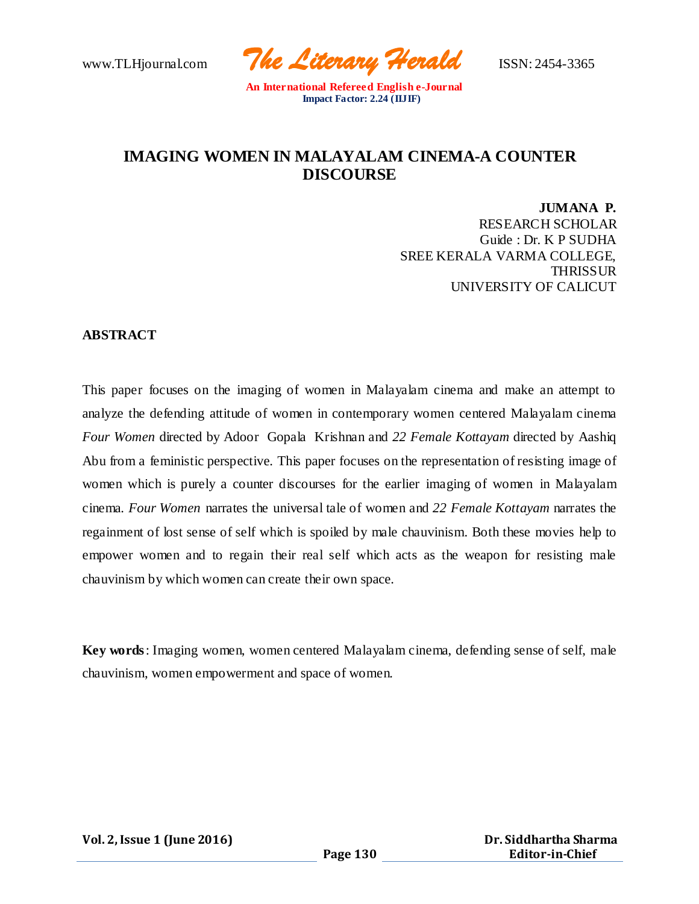www.TLHjournal.com *The Literary Herald*ISSN: 2454-3365

# **IMAGING WOMEN IN MALAYALAM CINEMA-A COUNTER DISCOURSE**

**JUMANA P.** RESEARCH SCHOLAR Guide : Dr. K P SUDHA SREE KERALA VARMA COLLEGE, **THRISSUR** UNIVERSITY OF CALICUT

#### **ABSTRACT**

This paper focuses on the imaging of women in Malayalam cinema and make an attempt to analyze the defending attitude of women in contemporary women centered Malayalam cinema *Four Women* directed by Adoor Gopala Krishnan and *22 Female Kottayam* directed by Aashiq Abu from a feministic perspective. This paper focuses on the representation of resisting image of women which is purely a counter discourses for the earlier imaging of women in Malayalam cinema. *Four Women* narrates the universal tale of women and *22 Female Kottayam* narrates the regainment of lost sense of self which is spoiled by male chauvinism. Both these movies help to empower women and to regain their real self which acts as the weapon for resisting male chauvinism by which women can create their own space.

**Key words**: Imaging women, women centered Malayalam cinema, defending sense of self, male chauvinism, women empowerment and space of women.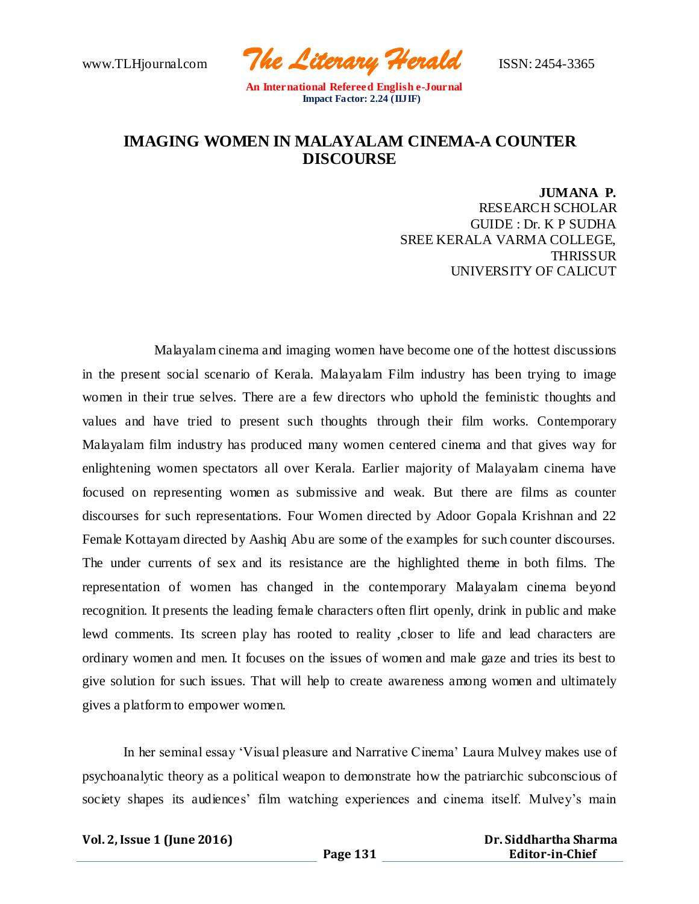www.TLHjournal.com *The Literary Herald*ISSN: 2454-3365

## **IMAGING WOMEN IN MALAYALAM CINEMA-A COUNTER DISCOURSE**

**JUMANA P.** RESEARCH SCHOLAR GUIDE : Dr. K P SUDHA SREE KERALA VARMA COLLEGE, **THRISSUR** UNIVERSITY OF CALICUT

 Malayalam cinema and imaging women have become one of the hottest discussions in the present social scenario of Kerala. Malayalam Film industry has been trying to image women in their true selves. There are a few directors who uphold the feministic thoughts and values and have tried to present such thoughts through their film works. Contemporary Malayalam film industry has produced many women centered cinema and that gives way for enlightening women spectators all over Kerala. Earlier majority of Malayalam cinema have focused on representing women as submissive and weak. But there are films as counter discourses for such representations. Four Women directed by Adoor Gopala Krishnan and 22 Female Kottayam directed by Aashiq Abu are some of the examples for such counter discourses. The under currents of sex and its resistance are the highlighted theme in both films. The representation of women has changed in the contemporary Malayalam cinema beyond recognition. It presents the leading female characters often flirt openly, drink in public and make lewd comments. Its screen play has rooted to reality ,closer to life and lead characters are ordinary women and men. It focuses on the issues of women and male gaze and tries its best to give solution for such issues. That will help to create awareness among women and ultimately gives a platform to empower women.

In her seminal essay 'Visual pleasure and Narrative Cinema' Laura Mulvey makes use of psychoanalytic theory as a political weapon to demonstrate how the patriarchic subconscious of society shapes its audiences' film watching experiences and cinema itself. Mulvey's main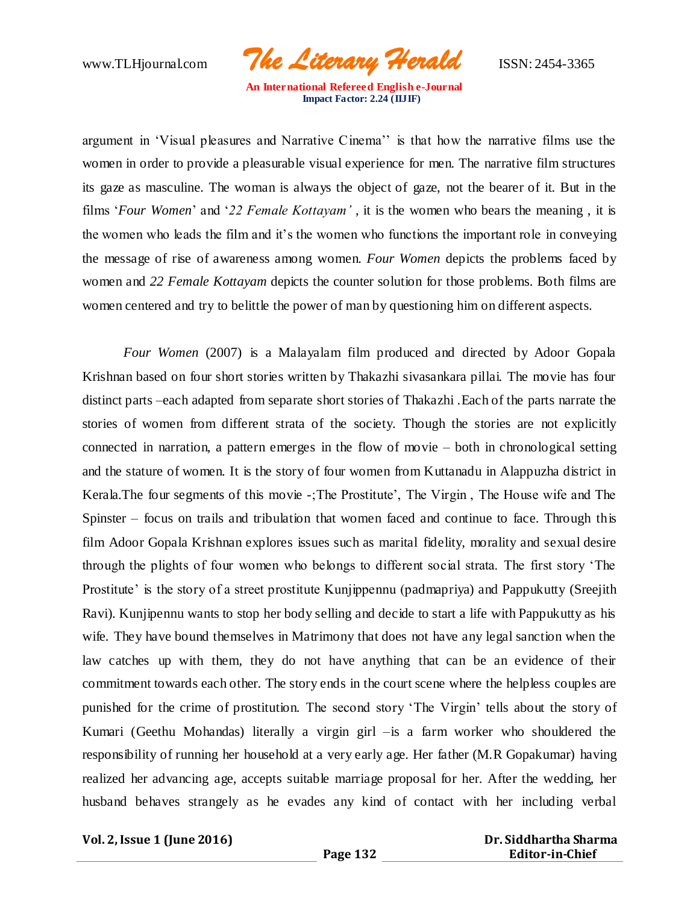www.TLHjournal.com *The Literary Herald*ISSN: 2454-3365

argument in 'Visual pleasures and Narrative Cinema'' is that how the narrative films use the women in order to provide a pleasurable visual experience for men. The narrative film structures its gaze as masculine. The woman is always the object of gaze, not the bearer of it. But in the films '*Four Women*' and '*22 Female Kottayam'* , it is the women who bears the meaning , it is the women who leads the film and it's the women who functions the important role in conveying the message of rise of awareness among women. *Four Women* depicts the problems faced by women and *22 Female Kottayam* depicts the counter solution for those problems. Both films are women centered and try to belittle the power of man by questioning him on different aspects.

*Four Women* (2007) is a Malayalam film produced and directed by Adoor Gopala Krishnan based on four short stories written by Thakazhi sivasankara pillai. The movie has four distinct parts –each adapted from separate short stories of Thakazhi .Each of the parts narrate the stories of women from different strata of the society. Though the stories are not explicitly connected in narration, a pattern emerges in the flow of movie – both in chronological setting and the stature of women. It is the story of four women from Kuttanadu in Alappuzha district in Kerala.The four segments of this movie -;The Prostitute', The Virgin , The House wife and The Spinster – focus on trails and tribulation that women faced and continue to face. Through this film Adoor Gopala Krishnan explores issues such as marital fidelity, morality and sexual desire through the plights of four women who belongs to different social strata. The first story 'The Prostitute' is the story of a street prostitute Kunjippennu (padmapriya) and Pappukutty (Sreejith Ravi). Kunjipennu wants to stop her body selling and decide to start a life with Pappukutty as his wife. They have bound themselves in Matrimony that does not have any legal sanction when the law catches up with them, they do not have anything that can be an evidence of their commitment towards each other. The story ends in the court scene where the helpless couples are punished for the crime of prostitution. The second story 'The Virgin' tells about the story of Kumari (Geethu Mohandas) literally a virgin girl –is a farm worker who shouldered the responsibility of running her household at a very early age. Her father (M.R Gopakumar) having realized her advancing age, accepts suitable marriage proposal for her. After the wedding, her husband behaves strangely as he evades any kind of contact with her including verbal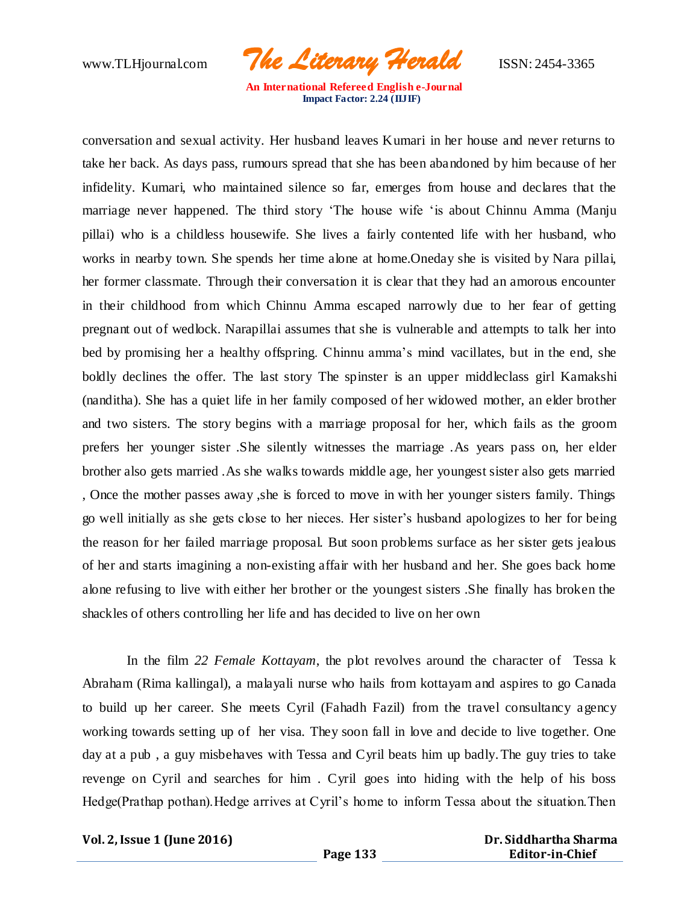www.TLHjournal.com *The Literary Herald*ISSN: 2454-3365

conversation and sexual activity. Her husband leaves Kumari in her house and never returns to take her back. As days pass, rumours spread that she has been abandoned by him because of her infidelity. Kumari, who maintained silence so far, emerges from house and declares that the marriage never happened. The third story 'The house wife 'is about Chinnu Amma (Manju pillai) who is a childless housewife. She lives a fairly contented life with her husband, who works in nearby town. She spends her time alone at home.Oneday she is visited by Nara pillai, her former classmate. Through their conversation it is clear that they had an amorous encounter in their childhood from which Chinnu Amma escaped narrowly due to her fear of getting pregnant out of wedlock. Narapillai assumes that she is vulnerable and attempts to talk her into bed by promising her a healthy offspring. Chinnu amma's mind vacillates, but in the end, she boldly declines the offer. The last story The spinster is an upper middleclass girl Kamakshi (nanditha). She has a quiet life in her family composed of her widowed mother, an elder brother and two sisters. The story begins with a marriage proposal for her, which fails as the groom prefers her younger sister .She silently witnesses the marriage .As years pass on, her elder brother also gets married .As she walks towards middle age, her youngest sister also gets married , Once the mother passes away ,she is forced to move in with her younger sisters family. Things go well initially as she gets close to her nieces. Her sister's husband apologizes to her for being the reason for her failed marriage proposal. But soon problems surface as her sister gets jealous of her and starts imagining a non-existing affair with her husband and her. She goes back home alone refusing to live with either her brother or the youngest sisters .She finally has broken the shackles of others controlling her life and has decided to live on her own

In the film *22 Female Kottayam*, the plot revolves around the character of Tessa k Abraham (Rima kallingal), a malayali nurse who hails from kottayam and aspires to go Canada to build up her career. She meets Cyril (Fahadh Fazil) from the travel consultancy agency working towards setting up of her visa. They soon fall in love and decide to live together. One day at a pub , a guy misbehaves with Tessa and Cyril beats him up badly.The guy tries to take revenge on Cyril and searches for him . Cyril goes into hiding with the help of his boss Hedge(Prathap pothan). Hedge arrives at Cyril's home to inform Tessa about the situation. Then

**Vol. 2, Issue 1 (June 2016)**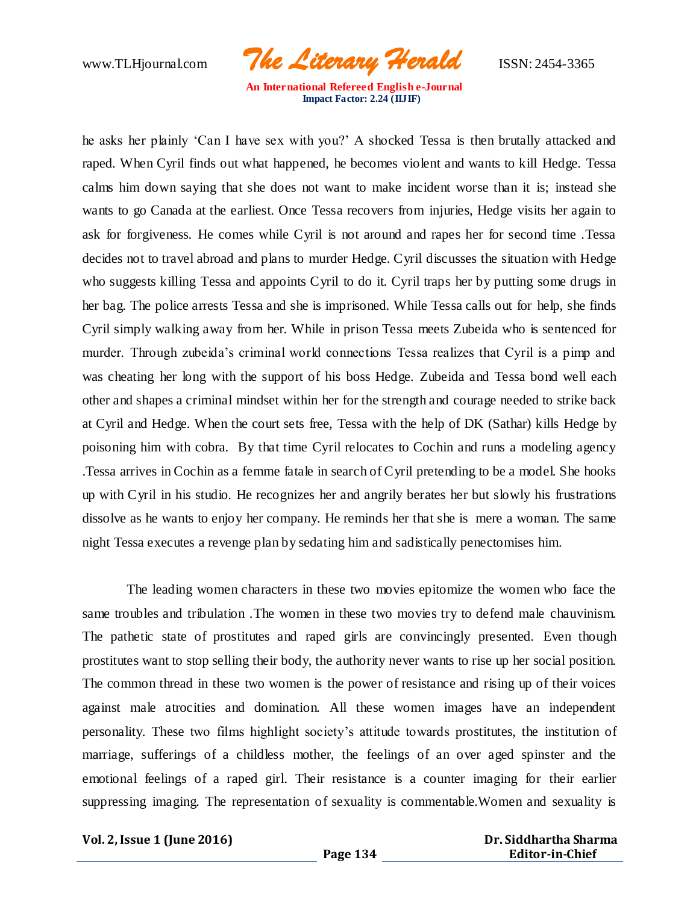www.TLHjournal.com *The Literary Herald*ISSN: 2454-3365

he asks her plainly 'Can I have sex with you?' A shocked Tessa is then brutally attacked and raped. When Cyril finds out what happened, he becomes violent and wants to kill Hedge. Tessa calms him down saying that she does not want to make incident worse than it is; instead she wants to go Canada at the earliest. Once Tessa recovers from injuries, Hedge visits her again to ask for forgiveness. He comes while Cyril is not around and rapes her for second time .Tessa decides not to travel abroad and plans to murder Hedge. Cyril discusses the situation with Hedge who suggests killing Tessa and appoints Cyril to do it. Cyril traps her by putting some drugs in her bag. The police arrests Tessa and she is imprisoned. While Tessa calls out for help, she finds Cyril simply walking away from her. While in prison Tessa meets Zubeida who is sentenced for murder. Through zubeida's criminal world connections Tessa realizes that Cyril is a pimp and was cheating her long with the support of his boss Hedge. Zubeida and Tessa bond well each other and shapes a criminal mindset within her for the strength and courage needed to strike back at Cyril and Hedge. When the court sets free, Tessa with the help of DK (Sathar) kills Hedge by poisoning him with cobra. By that time Cyril relocates to Cochin and runs a modeling agency .Tessa arrives in Cochin as a femme fatale in search of Cyril pretending to be a model. She hooks up with Cyril in his studio. He recognizes her and angrily berates her but slowly his frustrations dissolve as he wants to enjoy her company. He reminds her that she is mere a woman. The same night Tessa executes a revenge plan by sedating him and sadistically penectomises him.

The leading women characters in these two movies epitomize the women who face the same troubles and tribulation .The women in these two movies try to defend male chauvinism. The pathetic state of prostitutes and raped girls are convincingly presented. Even though prostitutes want to stop selling their body, the authority never wants to rise up her social position. The common thread in these two women is the power of resistance and rising up of their voices against male atrocities and domination. All these women images have an independent personality. These two films highlight society's attitude towards prostitutes, the institution of marriage, sufferings of a childless mother, the feelings of an over aged spinster and the emotional feelings of a raped girl. Their resistance is a counter imaging for their earlier suppressing imaging. The representation of sexuality is commentable.Women and sexuality is

**Vol. 2, Issue 1 (June 2016)**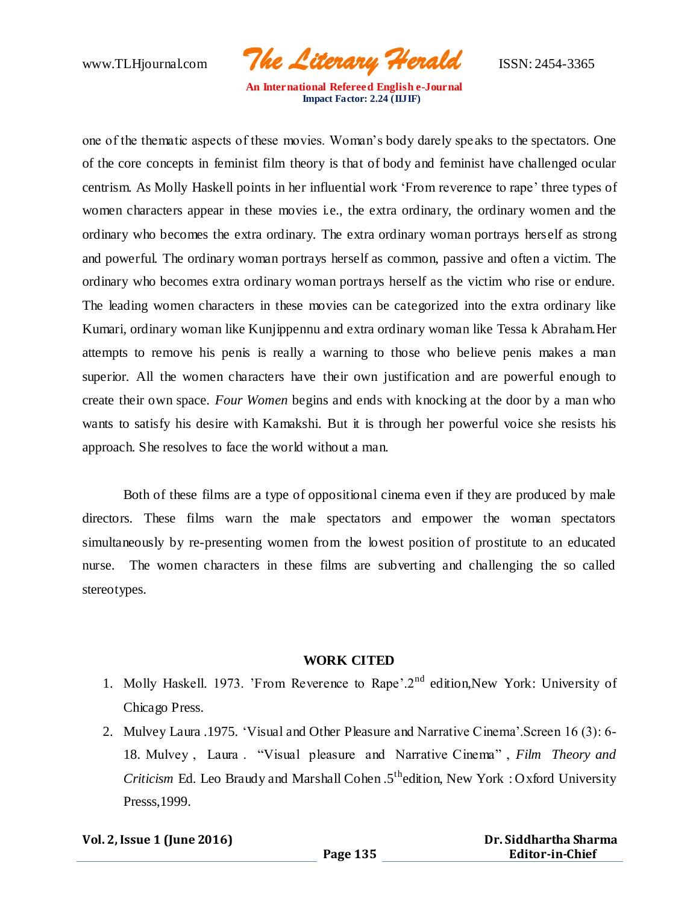www.TLHjournal.com *The Literary Herald*ISSN: 2454-3365

one of the thematic aspects of these movies. Woman's body darely speaks to the spectators. One of the core concepts in feminist film theory is that of body and feminist have challenged ocular centrism. As Molly Haskell points in her influential work 'From reverence to rape' three types of women characters appear in these movies i.e., the extra ordinary, the ordinary women and the ordinary who becomes the extra ordinary. The extra ordinary woman portrays herself as strong and powerful. The ordinary woman portrays herself as common, passive and often a victim. The ordinary who becomes extra ordinary woman portrays herself as the victim who rise or endure. The leading women characters in these movies can be categorized into the extra ordinary like Kumari, ordinary woman like Kunjippennu and extra ordinary woman like Tessa k Abraham.Her attempts to remove his penis is really a warning to those who believe penis makes a man superior. All the women characters have their own justification and are powerful enough to create their own space. *Four Women* begins and ends with knocking at the door by a man who wants to satisfy his desire with Kamakshi. But it is through her powerful voice she resists his approach. She resolves to face the world without a man.

Both of these films are a type of oppositional cinema even if they are produced by male directors. These films warn the male spectators and empower the woman spectators simultaneously by re-presenting women from the lowest position of prostitute to an educated nurse. The women characters in these films are subverting and challenging the so called stereotypes.

#### **WORK CITED**

- 1. Molly Haskell. 1973. 'From Reverence to Rape'.2nd edition,New York: University of Chicago Press.
- 2. Mulvey Laura .1975. 'Visual and Other Pleasure and Narrative Cinema'.Screen 16 (3): 6- 18. Mulvey , Laura . "Visual pleasure and Narrative Cinema" , *Film Theory and Criticism* Ed. Leo Braudy and Marshall Cohen .5<sup>th</sup>edition, New York: Oxford University Presss,1999.

#### **Vol. 2, Issue 1 (June 2016)**